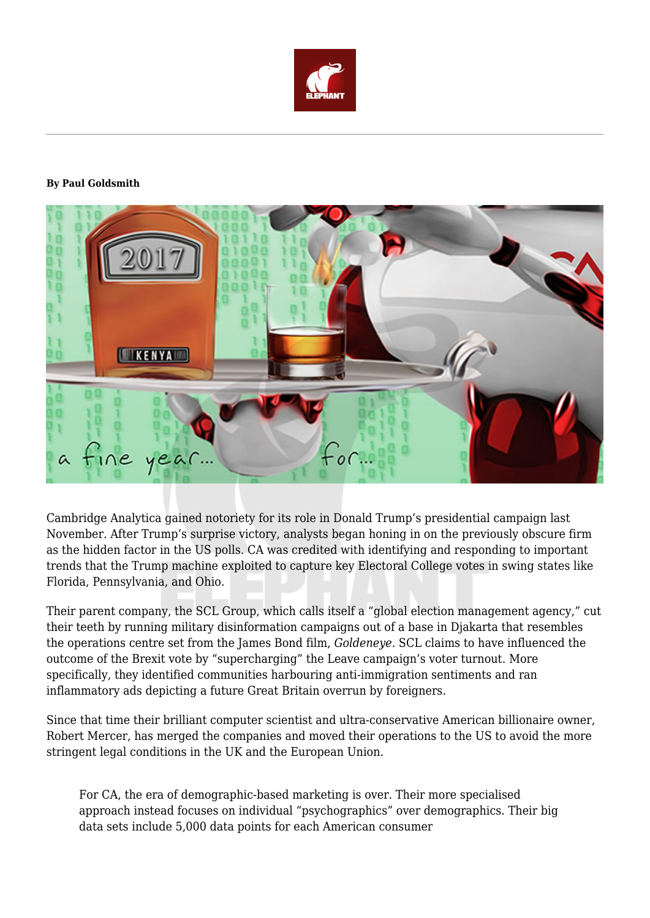

#### **By Paul Goldsmith**



Cambridge Analytica gained notoriety for its role in Donald Trump's presidential campaign last November. After Trump's surprise victory, analysts began honing in on the previously obscure firm as the hidden factor in the US polls. CA was credited with identifying and responding to important trends that the Trump machine exploited to capture key Electoral College votes in swing states like Florida, Pennsylvania, and Ohio.

Their parent company, the SCL Group, which calls itself a "global election management agency," cut their teeth by running military disinformation campaigns out of a base in Djakarta that resembles the operations centre set from the James Bond film, *Goldeneye*. SCL claims to have influenced the outcome of the Brexit vote by "supercharging" the Leave campaign's voter turnout. More specifically, they identified communities harbouring anti-immigration sentiments and ran inflammatory ads depicting a future Great Britain overrun by foreigners.

Since that time their brilliant computer scientist and ultra-conservative American billionaire owner, Robert Mercer, has merged the companies and moved their operations to the US to avoid the more stringent legal conditions in the UK and the European Union.

For CA, the era of demographic-based marketing is over. Their more specialised approach instead focuses on individual "psychographics" over demographics. Their big data sets include 5,000 data points for each American consumer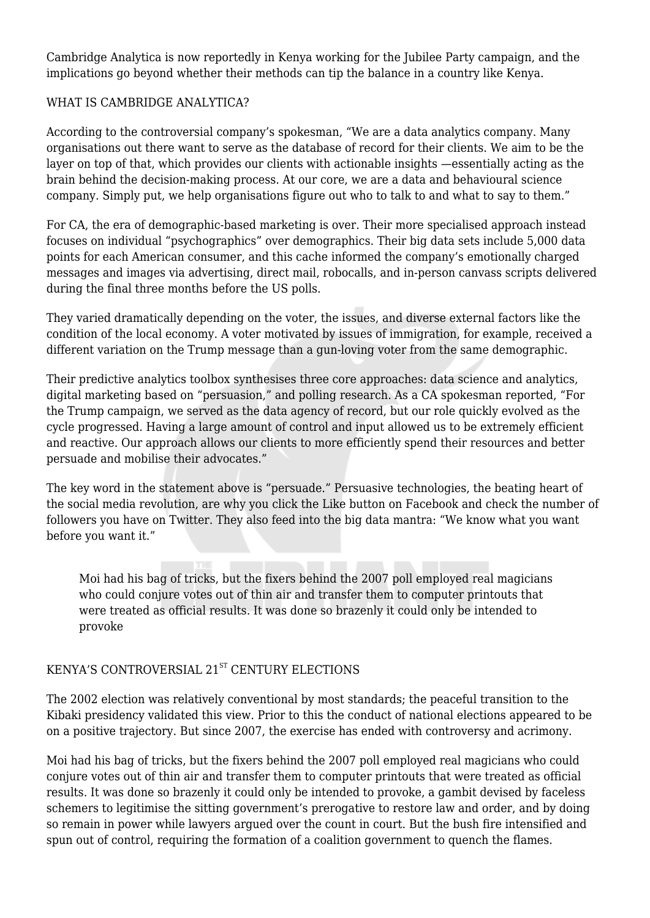Cambridge Analytica is now reportedly in Kenya working for the Jubilee Party campaign, and the implications go beyond whether their methods can tip the balance in a country like Kenya.

## WHAT IS CAMBRIDGE ANALYTICA?

According to the controversial company's spokesman, "We are a data analytics company. Many organisations out there want to serve as the database of record for their clients. We aim to be the layer on top of that, which provides our clients with actionable insights —essentially acting as the brain behind the decision-making process. At our core, we are a data and behavioural science company. Simply put, we help organisations figure out who to talk to and what to say to them."

For CA, the era of demographic-based marketing is over. Their more specialised approach instead focuses on individual "psychographics" over demographics. Their big data sets include 5,000 data points for each American consumer, and this cache informed the company's emotionally charged messages and images via advertising, direct mail, robocalls, and in-person canvass scripts delivered during the final three months before the US polls.

They varied dramatically depending on the voter, the issues, and diverse external factors like the condition of the local economy. A voter motivated by issues of immigration, for example, received a different variation on the Trump message than a gun-loving voter from the same demographic.

Their predictive analytics toolbox synthesises three core approaches: data science and analytics, digital marketing based on "persuasion," and polling research. As a CA spokesman reported, "For the Trump campaign, we served as the data agency of record, but our role quickly evolved as the cycle progressed. Having a large amount of control and input allowed us to be extremely efficient and reactive. Our approach allows our clients to more efficiently spend their resources and better persuade and mobilise their advocates."

The key word in the statement above is "persuade." Persuasive technologies, the beating heart of the social media revolution, are why you click the Like button on Facebook and check the number of followers you have on Twitter. They also feed into the big data mantra: "We know what you want before you want it."

Moi had his bag of tricks, but the fixers behind the 2007 poll employed real magicians who could conjure votes out of thin air and transfer them to computer printouts that were treated as official results. It was done so brazenly it could only be intended to provoke

# KENYA'S CONTROVERSIAL 21<sup>ST</sup> CENTURY ELECTIONS

The 2002 election was relatively conventional by most standards; the peaceful transition to the Kibaki presidency validated this view. Prior to this the conduct of national elections appeared to be on a positive trajectory. But since 2007, the exercise has ended with controversy and acrimony.

Moi had his bag of tricks, but the fixers behind the 2007 poll employed real magicians who could conjure votes out of thin air and transfer them to computer printouts that were treated as official results. It was done so brazenly it could only be intended to provoke, a gambit devised by faceless schemers to legitimise the sitting government's prerogative to restore law and order, and by doing so remain in power while lawyers argued over the count in court. But the bush fire intensified and spun out of control, requiring the formation of a coalition government to quench the flames.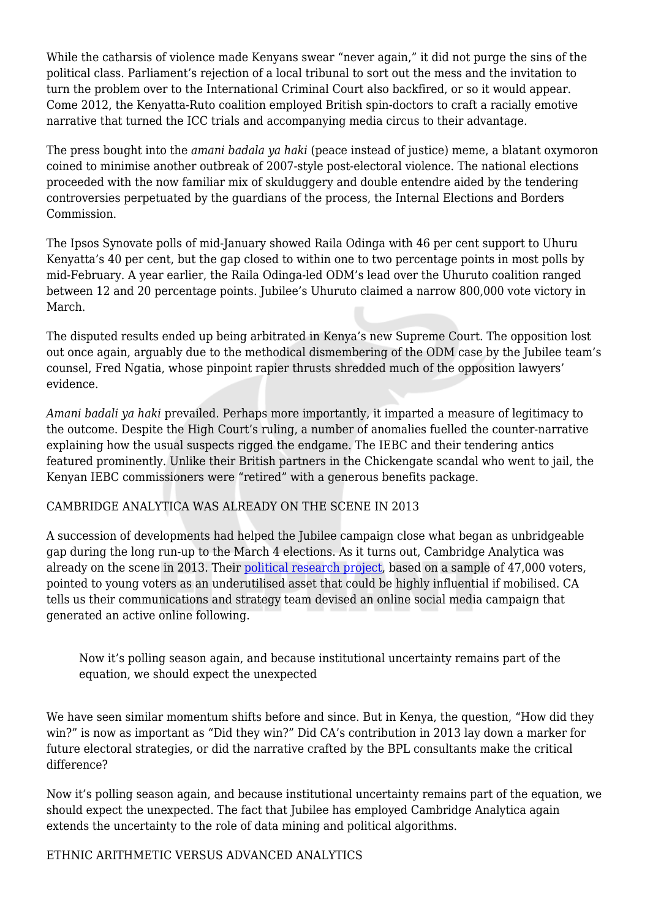While the catharsis of violence made Kenyans swear "never again," it did not purge the sins of the political class. Parliament's rejection of a local tribunal to sort out the mess and the invitation to turn the problem over to the International Criminal Court also backfired, or so it would appear. Come 2012, the Kenyatta-Ruto coalition employed British spin-doctors to craft a racially emotive narrative that turned the ICC trials and accompanying media circus to their advantage.

The press bought into the *amani badala ya haki* (peace instead of justice) meme, a blatant oxymoron coined to minimise another outbreak of 2007-style post-electoral violence. The national elections proceeded with the now familiar mix of skulduggery and double entendre aided by the tendering controversies perpetuated by the guardians of the process, the Internal Elections and Borders Commission.

The Ipsos Synovate polls of mid-January showed Raila Odinga with 46 per cent support to Uhuru Kenyatta's 40 per cent, but the gap closed to within one to two percentage points in most polls by mid-February. A year earlier, the Raila Odinga-led ODM's lead over the Uhuruto coalition ranged between 12 and 20 percentage points. Jubilee's Uhuruto claimed a narrow 800,000 vote victory in March.

The disputed results ended up being arbitrated in Kenya's new Supreme Court. The opposition lost out once again, arguably due to the methodical dismembering of the ODM case by the Jubilee team's counsel, Fred Ngatia, whose pinpoint rapier thrusts shredded much of the opposition lawyers' evidence.

*Amani badali ya haki* prevailed. Perhaps more importantly, it imparted a measure of legitimacy to the outcome. Despite the High Court's ruling, a number of anomalies fuelled the counter-narrative explaining how the usual suspects rigged the endgame. The IEBC and their tendering antics featured prominently. Unlike their British partners in the Chickengate scandal who went to jail, the Kenyan IEBC commissioners were "retired" with a generous benefits package.

#### CAMBRIDGE ANALYTICA WAS ALREADY ON THE SCENE IN 2013

A succession of developments had helped the Jubilee campaign close what began as unbridgeable gap during the long run-up to the March 4 elections. As it turns out, Cambridge Analytica was already on the scene in 2013. Their [political research project](https://ca-political.com/casestudies/casestudykenya2013), based on a sample of 47,000 voters, pointed to young voters as an underutilised asset that could be highly influential if mobilised. CA tells us their communications and strategy team devised an online social media campaign that generated an active online following.

Now it's polling season again, and because institutional uncertainty remains part of the equation, we should expect the unexpected

We have seen similar momentum shifts before and since. But in Kenya, the question, "How did they win?" is now as important as "Did they win?" Did CA's contribution in 2013 lay down a marker for future electoral strategies, or did the narrative crafted by the BPL consultants make the critical difference?

Now it's polling season again, and because institutional uncertainty remains part of the equation, we should expect the unexpected. The fact that Jubilee has employed Cambridge Analytica again extends the uncertainty to the role of data mining and political algorithms.

## ETHNIC ARITHMETIC VERSUS ADVANCED ANALYTICS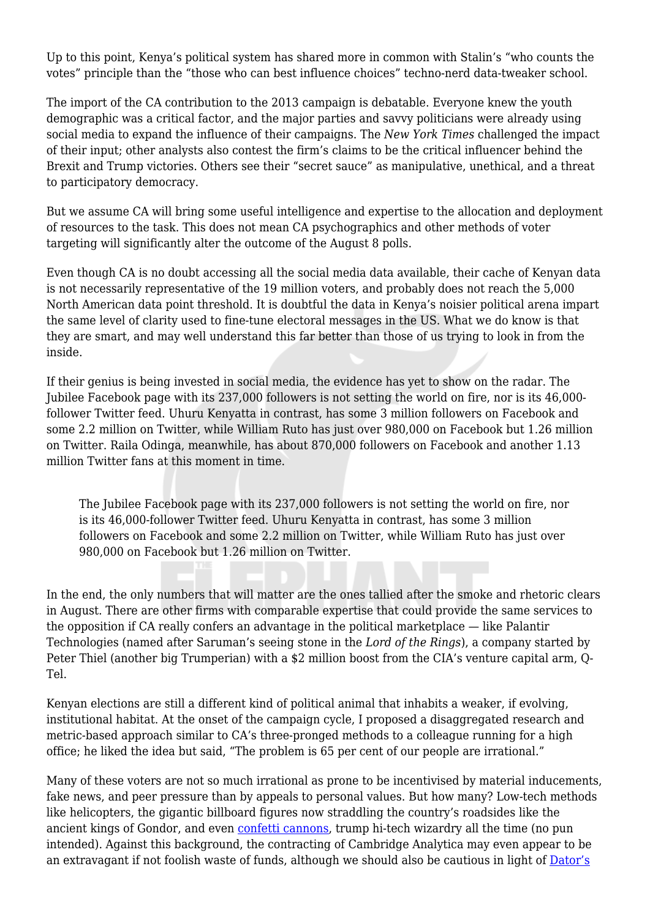Up to this point, Kenya's political system has shared more in common with Stalin's "who counts the votes" principle than the "those who can best influence choices" techno-nerd data-tweaker school.

The import of the CA contribution to the 2013 campaign is debatable. Everyone knew the youth demographic was a critical factor, and the major parties and savvy politicians were already using social media to expand the influence of their campaigns. The *New York Times* challenged the impact of their input; other analysts also contest the firm's claims to be the critical influencer behind the Brexit and Trump victories. Others see their "secret sauce" as manipulative, unethical, and a threat to participatory democracy.

But we assume CA will bring some useful intelligence and expertise to the allocation and deployment of resources to the task. This does not mean CA psychographics and other methods of voter targeting will significantly alter the outcome of the August 8 polls.

Even though CA is no doubt accessing all the social media data available, their cache of Kenyan data is not necessarily representative of the 19 million voters, and probably does not reach the 5,000 North American data point threshold. It is doubtful the data in Kenya's noisier political arena impart the same level of clarity used to fine-tune electoral messages in the US. What we do know is that they are smart, and may well understand this far better than those of us trying to look in from the inside.

If their genius is being invested in social media, the evidence has yet to show on the radar. The Jubilee Facebook page with its 237,000 followers is not setting the world on fire, nor is its 46,000 follower Twitter feed. Uhuru Kenyatta in contrast, has some 3 million followers on Facebook and some 2.2 million on Twitter, while William Ruto has just over 980,000 on Facebook but 1.26 million on Twitter. Raila Odinga, meanwhile, has about 870,000 followers on Facebook and another 1.13 million Twitter fans at this moment in time.

The Jubilee Facebook page with its 237,000 followers is not setting the world on fire, nor is its 46,000-follower Twitter feed. Uhuru Kenyatta in contrast, has some 3 million followers on Facebook and some 2.2 million on Twitter, while William Ruto has just over 980,000 on Facebook but 1.26 million on Twitter.

In the end, the only numbers that will matter are the ones tallied after the smoke and rhetoric clears in August. There are other firms with comparable expertise that could provide the same services to the opposition if CA really confers an advantage in the political marketplace — like Palantir Technologies (named after Saruman's seeing stone in the *Lord of the Rings*), a company started by Peter Thiel (another big Trumperian) with a \$2 million boost from the CIA's venture capital arm, Q-Tel.

Kenyan elections are still a different kind of political animal that inhabits a weaker, if evolving, institutional habitat. At the onset of the campaign cycle, I proposed a disaggregated research and metric-based approach similar to CA's three-pronged methods to a colleague running for a high office; he liked the idea but said, "The problem is 65 per cent of our people are irrational."

Many of these voters are not so much irrational as prone to be incentivised by material inducements, fake news, and peer pressure than by appeals to personal values. But how many? Low-tech methods like helicopters, the gigantic billboard figures now straddling the country's roadsides like the ancient kings of Gondor, and even [confetti cannons](http://sploid.gizmodo.com/music-festival-confetti-cannons-might-be-our-only-suref-1796523538), trump hi-tech wizardry all the time (no pun intended). Against this background, the contracting of Cambridge Analytica may even appear to be an extravagant if not foolish waste of funds, although we should also be cautious in light of [Dator's](https://prezi.com/ub_l3phlualn/dators-2nd-law-of-south-park-imagining-poorly-animated-futures-of-religion-technology-culture/)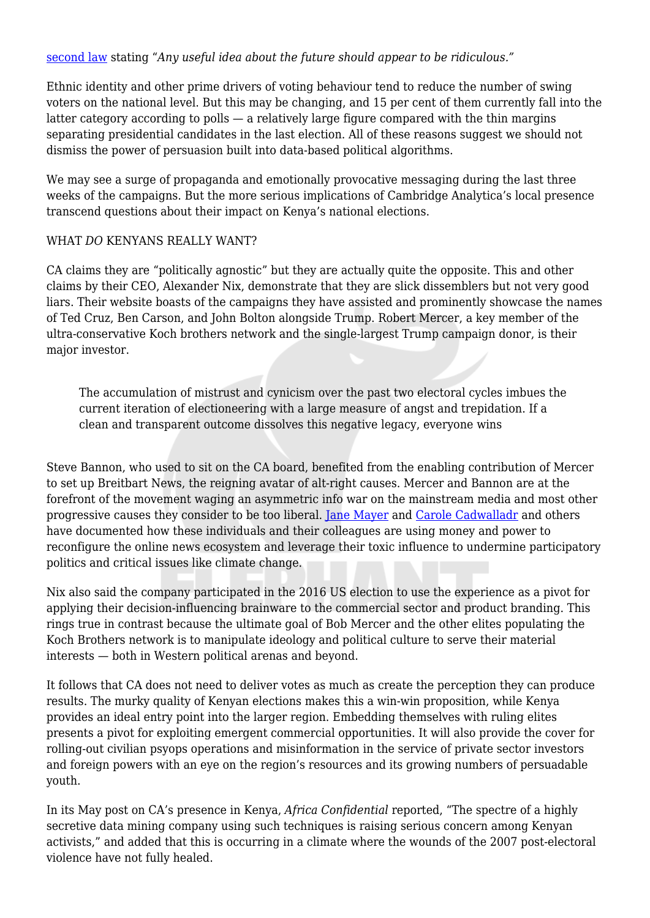[second law](https://prezi.com/ub_l3phlualn/dators-2nd-law-of-south-park-imagining-poorly-animated-futures-of-religion-technology-culture/) stating "*Any useful idea about the future should appear to be ridiculous."*

Ethnic identity and other prime drivers of voting behaviour tend to reduce the number of swing voters on the national level. But this may be changing, and 15 per cent of them currently fall into the latter category according to polls — a relatively large figure compared with the thin margins separating presidential candidates in the last election. All of these reasons suggest we should not dismiss the power of persuasion built into data-based political algorithms.

We may see a surge of propaganda and emotionally provocative messaging during the last three weeks of the campaigns. But the more serious implications of Cambridge Analytica's local presence transcend questions about their impact on Kenya's national elections.

#### WHAT *DO* KENYANS REALLY WANT?

CA claims they are "politically agnostic" but they are actually quite the opposite. This and other claims by their CEO, Alexander Nix, demonstrate that they are slick dissemblers but not very good liars. Their website boasts of the campaigns they have assisted and prominently showcase the names of Ted Cruz, Ben Carson, and John Bolton alongside Trump. Robert Mercer, a key member of the ultra-conservative Koch brothers network and the single-largest Trump campaign donor, is their major investor.

The accumulation of mistrust and cynicism over the past two electoral cycles imbues the current iteration of electioneering with a large measure of angst and trepidation. If a clean and transparent outcome dissolves this negative legacy, everyone wins

Steve Bannon, who used to sit on the CA board, benefited from the enabling contribution of Mercer to set up Breitbart News, the reigning avatar of alt-right causes. Mercer and Bannon are at the forefront of the movement waging an asymmetric info war on the mainstream media and most other progressive causes they consider to be too liberal. [Jane Mayer](https://www.democracynow.org/2017/3/23/jane_mayer_on_robert_mercer_the) and [Carole Cadwalladr](https://www.theguardian.com/politics/2017/feb/26/robert-mercer-breitbart-war-on-media-steve-bannon-donald-trump-nigel-farage) and others have documented how these individuals and their colleagues are using money and power to reconfigure the online news ecosystem and leverage their toxic influence to undermine participatory politics and critical issues like climate change.

Nix also said the company participated in the 2016 US election to use the experience as a pivot for applying their decision-influencing brainware to the commercial sector and product branding. This rings true in contrast because the ultimate goal of Bob Mercer and the other elites populating the Koch Brothers network is to manipulate ideology and political culture to serve their material interests — both in Western political arenas and beyond.

It follows that CA does not need to deliver votes as much as create the perception they can produce results. The murky quality of Kenyan elections makes this a win-win proposition, while Kenya provides an ideal entry point into the larger region. Embedding themselves with ruling elites presents a pivot for exploiting emergent commercial opportunities. It will also provide the cover for rolling-out civilian psyops operations and misinformation in the service of private sector investors and foreign powers with an eye on the region's resources and its growing numbers of persuadable youth.

In its May post on CA's presence in Kenya, *Africa Confidential* reported, "The spectre of a highly secretive data mining company using such techniques is raising serious concern among Kenyan activists," and added that this is occurring in a climate where the wounds of the 2007 post-electoral violence have not fully healed.